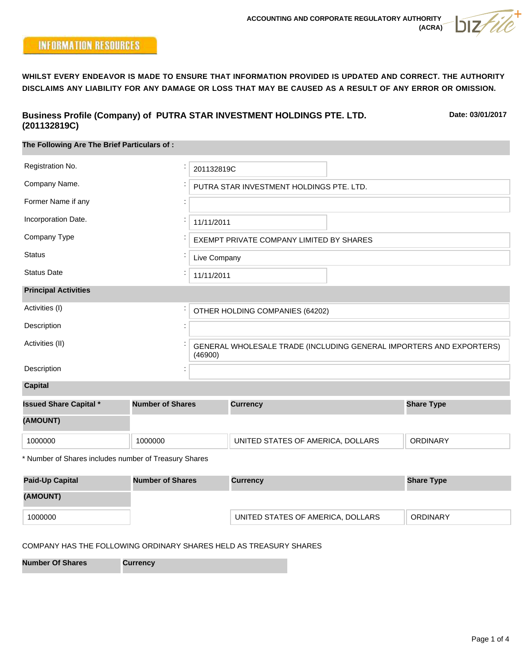# **INFORMATION RESOURCES**

**WHILST EVERY ENDEAVOR IS MADE TO ENSURE THAT INFORMATION PROVIDED IS UPDATED AND CORRECT. THE AUTHORITY DISCLAIMS ANY LIABILITY FOR ANY DAMAGE OR LOSS THAT MAY BE CAUSED AS A RESULT OF ANY ERROR OR OMISSION.**

### **Business Profile (Company) of PUTRA STAR INVESTMENT HOLDINGS PTE. LTD. (201132819C)**

**Date: 03/01/2017**

| .                                                     |                         |                                                                                |                                   |  |                   |  |
|-------------------------------------------------------|-------------------------|--------------------------------------------------------------------------------|-----------------------------------|--|-------------------|--|
| The Following Are The Brief Particulars of:           |                         |                                                                                |                                   |  |                   |  |
| Registration No.                                      |                         | 201132819C                                                                     |                                   |  |                   |  |
| Company Name.                                         |                         | PUTRA STAR INVESTMENT HOLDINGS PTE. LTD.                                       |                                   |  |                   |  |
| Former Name if any                                    |                         |                                                                                |                                   |  |                   |  |
| Incorporation Date.                                   |                         | 11/11/2011                                                                     |                                   |  |                   |  |
| Company Type                                          |                         | EXEMPT PRIVATE COMPANY LIMITED BY SHARES                                       |                                   |  |                   |  |
| <b>Status</b>                                         |                         | Live Company                                                                   |                                   |  |                   |  |
| <b>Status Date</b>                                    |                         |                                                                                | 11/11/2011                        |  |                   |  |
| <b>Principal Activities</b>                           |                         |                                                                                |                                   |  |                   |  |
| Activities (I)                                        |                         | OTHER HOLDING COMPANIES (64202)                                                |                                   |  |                   |  |
| Description                                           |                         |                                                                                |                                   |  |                   |  |
| Activities (II)                                       |                         | GENERAL WHOLESALE TRADE (INCLUDING GENERAL IMPORTERS AND EXPORTERS)<br>(46900) |                                   |  |                   |  |
| Description                                           |                         |                                                                                |                                   |  |                   |  |
| <b>Capital</b>                                        |                         |                                                                                |                                   |  |                   |  |
| <b>Issued Share Capital *</b>                         | <b>Number of Shares</b> |                                                                                | <b>Currency</b>                   |  | <b>Share Type</b> |  |
| (AMOUNT)                                              |                         |                                                                                |                                   |  |                   |  |
| 1000000                                               | 1000000                 |                                                                                | UNITED STATES OF AMERICA, DOLLARS |  | <b>ORDINARY</b>   |  |
| * Number of Shares includes number of Treasury Shares |                         |                                                                                |                                   |  |                   |  |
| <b>Paid-Up Capital</b>                                | <b>Number of Shares</b> |                                                                                | <b>Currency</b>                   |  | <b>Share Type</b> |  |
| (AMOUNT)                                              |                         |                                                                                |                                   |  |                   |  |
| 1000000                                               |                         |                                                                                | UNITED STATES OF AMERICA, DOLLARS |  | <b>ORDINARY</b>   |  |

### COMPANY HAS THE FOLLOWING ORDINARY SHARES HELD AS TREASURY SHARES

**Number Of Shares Currency**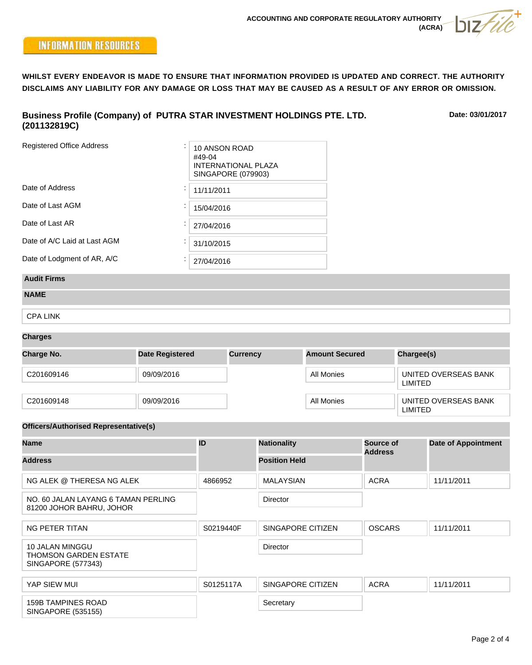**WHILST EVERY ENDEAVOR IS MADE TO ENSURE THAT INFORMATION PROVIDED IS UPDATED AND CORRECT. THE AUTHORITY DISCLAIMS ANY LIABILITY FOR ANY DAMAGE OR LOSS THAT MAY BE CAUSED AS A RESULT OF ANY ERROR OR OMISSION.**

### **Business Profile (Company) of PUTRA STAR INVESTMENT HOLDINGS PTE. LTD. (201132819C)**

**Date: 03/01/2017**

| <b>Registered Office Address</b> | 10 ANSON ROAD<br>#49-04<br><b>INTERNATIONAL PLAZA</b><br>SINGAPORE (079903) |
|----------------------------------|-----------------------------------------------------------------------------|
| Date of Address                  | 11/11/2011                                                                  |
| Date of Last AGM                 | 15/04/2016                                                                  |
| Date of Last AR                  | 27/04/2016                                                                  |
| Date of A/C Laid at Last AGM     | 31/10/2015                                                                  |
| Date of Lodgment of AR, A/C      | 27/04/2016                                                                  |

## **Audit Firms**

| <b>NAME</b> |  |
|-------------|--|
|-------------|--|

CPA LINK

#### **Charges**

| <b>Charge No.</b> | <b>Date Registered</b> | <b>Currency</b> | <b>Amount Secured</b> | Chargee(s)                      |
|-------------------|------------------------|-----------------|-----------------------|---------------------------------|
| C201609146        | 09/09/2016             |                 | All Monies            | UNITED OVERSEAS BANK<br>LIMITED |
| C201609148        | 09/09/2016             |                 | All Monies            | UNITED OVERSEAS BANK<br>LIMITED |

#### **Officers/Authorised Representative(s)**

| <b>Name</b>                                                           | ID        | <b>Nationality</b>   | <b>Source of</b><br><b>Address</b> | <b>Date of Appointment</b> |
|-----------------------------------------------------------------------|-----------|----------------------|------------------------------------|----------------------------|
| <b>Address</b>                                                        |           | <b>Position Held</b> |                                    |                            |
| NG ALEK @ THERESA NG ALEK                                             | 4866952   | <b>MALAYSIAN</b>     | <b>ACRA</b>                        | 11/11/2011                 |
| NO. 60 JALAN LAYANG 6 TAMAN PERLING<br>81200 JOHOR BAHRU, JOHOR       |           | Director             |                                    |                            |
| NG PETER TITAN                                                        | S0219440F | SINGAPORE CITIZEN    | <b>OSCARS</b>                      | 11/11/2011                 |
| 10 JALAN MINGGU<br><b>THOMSON GARDEN ESTATE</b><br>SINGAPORE (577343) |           | Director             |                                    |                            |
| YAP SIEW MUI                                                          | S0125117A | SINGAPORE CITIZEN    | <b>ACRA</b>                        | 11/11/2011                 |
| <b>159B TAMPINES ROAD</b><br>SINGAPORE (535155)                       |           | Secretary            |                                    |                            |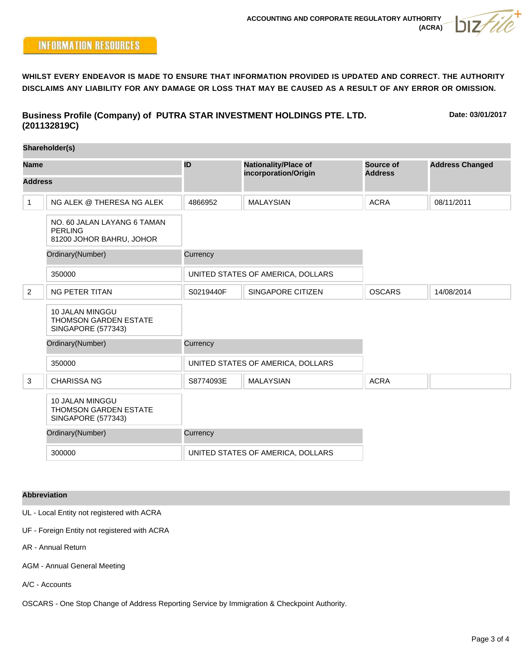**WHILST EVERY ENDEAVOR IS MADE TO ENSURE THAT INFORMATION PROVIDED IS UPDATED AND CORRECT. THE AUTHORITY DISCLAIMS ANY LIABILITY FOR ANY DAMAGE OR LOSS THAT MAY BE CAUSED AS A RESULT OF ANY ERROR OR OMISSION.**

**Business Profile (Company) of PUTRA STAR INVESTMENT HOLDINGS PTE. LTD. (201132819C)**

**Date: 03/01/2017**

|                               | (201132819C)                                                                 |           |                                                     |                             |                        |
|-------------------------------|------------------------------------------------------------------------------|-----------|-----------------------------------------------------|-----------------------------|------------------------|
|                               | Shareholder(s)                                                               |           |                                                     |                             |                        |
| <b>Name</b><br><b>Address</b> |                                                                              | ID        | <b>Nationality/Place of</b><br>incorporation/Origin | Source of<br><b>Address</b> | <b>Address Changed</b> |
|                               |                                                                              |           |                                                     |                             |                        |
| $\mathbf{1}$                  | NG ALEK @ THERESA NG ALEK                                                    | 4866952   | <b>MALAYSIAN</b>                                    | <b>ACRA</b>                 | 08/11/2011             |
|                               | NO. 60 JALAN LAYANG 6 TAMAN<br><b>PERLING</b><br>81200 JOHOR BAHRU, JOHOR    |           |                                                     |                             |                        |
|                               | Ordinary(Number)                                                             | Currency  |                                                     |                             |                        |
|                               | 350000                                                                       |           | UNITED STATES OF AMERICA, DOLLARS                   |                             |                        |
| 2                             | <b>NG PETER TITAN</b>                                                        | S0219440F | SINGAPORE CITIZEN                                   | <b>OSCARS</b>               | 14/08/2014             |
|                               | 10 JALAN MINGGU<br><b>THOMSON GARDEN ESTATE</b><br><b>SINGAPORE (577343)</b> |           |                                                     |                             |                        |
|                               | Ordinary(Number)                                                             | Currency  |                                                     |                             |                        |
|                               | 350000                                                                       |           | UNITED STATES OF AMERICA, DOLLARS                   |                             |                        |
| 3                             | <b>CHARISSA NG</b>                                                           | S8774093E | <b>MALAYSIAN</b>                                    | <b>ACRA</b>                 |                        |
|                               | 10 JALAN MINGGU<br><b>THOMSON GARDEN ESTATE</b><br><b>SINGAPORE (577343)</b> |           |                                                     |                             |                        |
|                               | Ordinary(Number)                                                             | Currency  |                                                     |                             |                        |
|                               | 300000                                                                       |           | UNITED STATES OF AMERICA, DOLLARS                   |                             |                        |

#### **Abbreviation**

UL - Local Entity not registered with ACRA

UF - Foreign Entity not registered with ACRA

AR - Annual Return

AGM - Annual General Meeting

A/C - Accounts

OSCARS - One Stop Change of Address Reporting Service by Immigration & Checkpoint Authority.